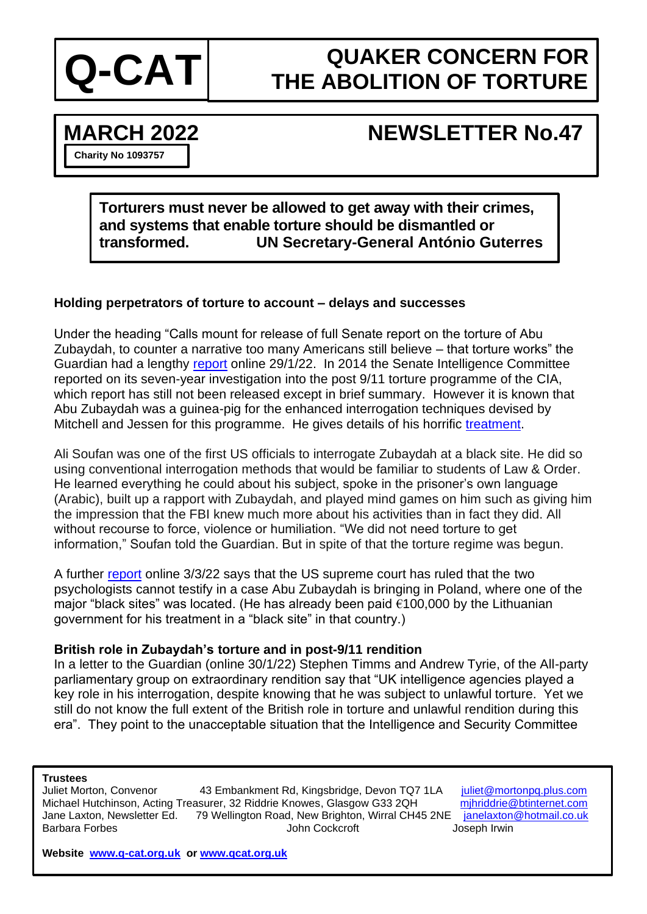

# **QUAKER CONCERN FOR Q-CAT** THE ABOLITION OF TORTURE

## **MARCH 2022 NEWSLETTER No.47**

**Charity No 1093757**

**Torturers must never be allowed to get away with their crimes, and systems that enable torture should be dismantled or transformed. UN Secretary-General António Guterres**

## **Holding perpetrators of torture to account – delays and successes**

Under the heading "Calls mount for release of full Senate report on the torture of Abu Zubaydah, to counter a narrative too many Americans still believe – that torture works" the Guardian had a lengthy [report](https://www.theguardian.com/us-news/2022/jan/29/the-cia-lied-to-justify-torturing-one-prisoner-after-911-20-years-later-his-story-is-still-shrouded-in-secrecy) online 29/1/22. In 2014 the Senate Intelligence Committee reported on its seven-year investigation into the post 9/11 torture programme of the CIA, which report has still not been released except in brief summary. However it is known that Abu Zubaydah was a guinea-pig for the enhanced interrogation techniques devised by Mitchell and Jessen for this programme. He gives details of his horrific [treatment.](https://www.theguardian.com/us-news/2022/jan/29/abu-zubaydah-cia-torture-waterboarding-guantanamo)

Ali Soufan was one of the first US officials to interrogate Zubaydah at a black site. He did so using conventional interrogation methods that would be familiar to students of Law & Order. He learned everything he could about his subject, spoke in the prisoner's own language (Arabic), built up a rapport with Zubaydah, and played mind games on him such as giving him the impression that the FBI knew much more about his activities than in fact they did. All without recourse to force, violence or humiliation. "We did not need torture to get information," Soufan told the Guardian. But in spite of that the torture regime was begun.

A further [report](https://www.theguardian.com/law/2022/mar/03/supreme-court-cia-enhanced-interrogation-block-testifying) online 3/3/22 says that the US supreme court has ruled that the two psychologists cannot testify in a case Abu Zubaydah is bringing in Poland, where one of the major "black sites" was located. (He has already been paid €100,000 by the Lithuanian government for his treatment in a "black site" in that country.)

### **British role in Zubaydah's torture and in post-9/11 rendition**

In a letter to the Guardian (online 30/1/22) Stephen Timms and Andrew Tyrie, of the All-party parliamentary group on extraordinary rendition say that "UK intelligence agencies played a key role in his interrogation, despite knowing that he was subject to unlawful torture. Yet we still do not know the full extent of the British role in torture and unlawful rendition during this era". They point to the unacceptable situation that the Intelligence and Security Committee

#### **Trustees**

Juliet Morton, Convenor 43 Embankment Rd, Kingsbridge, Devon TQ7 1LA [juliet@mortonpq.plus.com](mailto:juliet@mortonpq.plus.com) Michael Hutchinson, Acting Treasurer, 32 Riddrie Knowes, Glasgow G33 2QH [mjhriddrie@btinternet.com](mailto:mjhriddrie@btinternet.com) Jane Laxton, Newsletter Ed. 79 Wellington Road, New Brighton, Wirral CH45 2NE [janelaxton@hotmail.co.uk](mailto:janelaxton@hotmail.co.uk) Barbara Forbes John Cockcroft Joseph Irwin